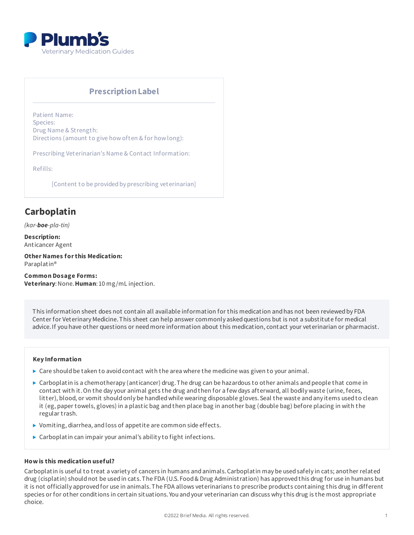

# **PrescriptionLabel**

Patient Name: Species: Drug Name & Strength: Directions (amount to give how often & for how long):

Prescribing Veterinarian's Name & Contact Information:

Refills:

[Content to be provided by prescribing veterinarian]

# **Carboplatin**

*(kar-boe-pla-tin)*

**Description:** Anticancer Agent

**OtherNames forthis Medication:** Paraplatin®

**Common Dosage Forms: Veterinary**:None.**Human**: 10 mg/mL injection.

This information sheet does not contain all available information for this medication and has not been reviewed by FDA Center for Veterinary Medicine. This sheet can help answer commonly asked questions but is not a substitute for medical advice.If you have other questions or needmore information about this medication, contact your veterinarian or pharmacist.

#### **Key Information**

- $\triangleright$  Care should be taken to avoid contact with the area where the medicine was given to your animal.
- $\triangleright$  Carboplatin is a chemotherapy (anticancer) drug. The drug can be hazardous to other animals and people that come in contact with it.On the day your animal gets the drug andthen for a few days afterward, all bodily waste (urine, feces, litter), blood, or vomit shouldonly be handledwhile wearing disposable gloves.Seal the waste andany items usedto clean it (eg, paper towels, gloves) in a plastic bag andthen place bag in another bag (double bag) before placing in with the regular trash.
- ▶ Vomiting, diarrhea, and loss of appetite are common side effects.
- Carboplatin can impair your animal's ability to fight infections.

### **How is this medication useful?**

Carboplatin is useful to treat a variety of cancers in humans andanimals.Carboplatin may be usedsafely in cats; another related drug (cisplatin) shouldnot be usedin cats.The FDA (U.S. Food& Drug Administration) has approvedthis drug for use in humans but it is not officially approvedfor use in animals.The FDA allows veterinarians to prescribe products containing this drug in different species or for other conditions in certain situations. You andyour veterinarian can discuss why this drug is the most appropriate choice.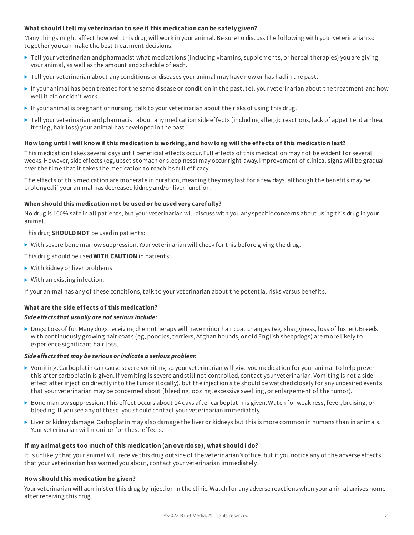# **What should I tell my veterinarian to see if this medication can be safely given?**

Many things might affect how well this drug will work in your animal.Be sure to discuss the following with your veterinarian so together you can make the best treatment decisions.

- $\blacktriangleright$  Tell your veterinarian and pharmacist what medications (including vitamins, supplements, or herbal therapies) you are giving your animal, as well as the amount andschedule of each.
- $\blacktriangleright$  Tell your veterinarian about any conditions or diseases your animal may have now or has had in the past.
- If your animal has been treatedfor the same disease or condition in the past, tell your veterinarian about the treatment andhow well it didor didn't work.
- If your animal is pregnant or nursing, talk to your veterinarian about the risks of using this drug.
- $\blacktriangleright$  Tell your veterinarian and pharmacist about any medication side effects (including allergic reactions, lack of appetite, diarrhea, itching, hair loss) your animal has developedin the past.

### How long until I will know if this medication is working, and how long will the effects of this medication last?

This medication takes several days until beneficial effects occur. Full effects of this medication may not be evident for several weeks.However, side effects (eg, upset stomach or sleepiness) may occur right away.Improvement of clinical signs will be gradual over the time that it takes the medication to reach its full efficacy.

The effects of this medication are moderate in duration, meaning they may last for a few days, although the benefits may be prolonged if your animal has decreased kidney and/or liver function.

### **When should this medication not be used or be used very carefully?**

No drug is 100% safe in all patients, but your veterinarian will discuss with you any specific concerns about using this drug in your animal.

This drug **SHOULD NOT** be usedin patients:

 $\triangleright$  With severe bone marrow suppression. Your veterinarian will check for this before giving the drug.

This drug shouldbe used**WITH CAUTION** in patients:

- $\blacktriangleright$  With kidney or liver problems.
- $\triangleright$  With an existing infection.

If your animal has any of these conditions, talk to your veterinarian about the potential risks versus benefits.

### **What are the side effects of this medication?**

#### *Side effects that usually are not serious include:*

▶ Dogs: Loss of fur. Many dogs receiving chemotherapy will have minor hair coat changes (eg, shagginess, loss of luster). Breeds with continuously growing hair coats (eg, poodles, terriers, Afghan hounds, or oldEnglish sheepdogs) are more likely to experience significant hair loss.

#### *Side effects that may be serious orindicate a serious problem:*

- Vomiting.Carboplatin can cause severe vomiting so your veterinarian will give you medication for your animal to help prevent this after carboplatin is given.If vomiting is severe andstill not controlled, contact your veterinarian.Vomiting is not a side effect after injection directly into the tumor (locally), but the injection site should be watched closely for any undesired events that your veterinarian may be concernedabout (bleeding, oozing, excessive swelling, or enlargement of the tumor).
- ▶ Bone marrow suppression. This effect occurs about 14 days after carboplatin is given. Watch for weakness, fever, bruising, or bleeding. If you see any of these, you should contact your veterinarian immediately.
- ► Liver or kidney damage. Carboplatin may also damage the liver or kidneys but this is more common in humans than in animals. Your veterinarian will monitor for these effects.

### **If my animal gets too much of this medication (an overdose), what should I do?**

It is unlikely that your animal will receive this drug outside of the veterinarian's office, but if you notice any of the adverse effects that your veterinarian has warnedyou about, contact your veterinarian immediately.

### **How should this medication be given?**

Your veterinarian will administer this drug by injection in the clinic.Watch for any adverse reactions when your animal arrives home after receiving this drug.